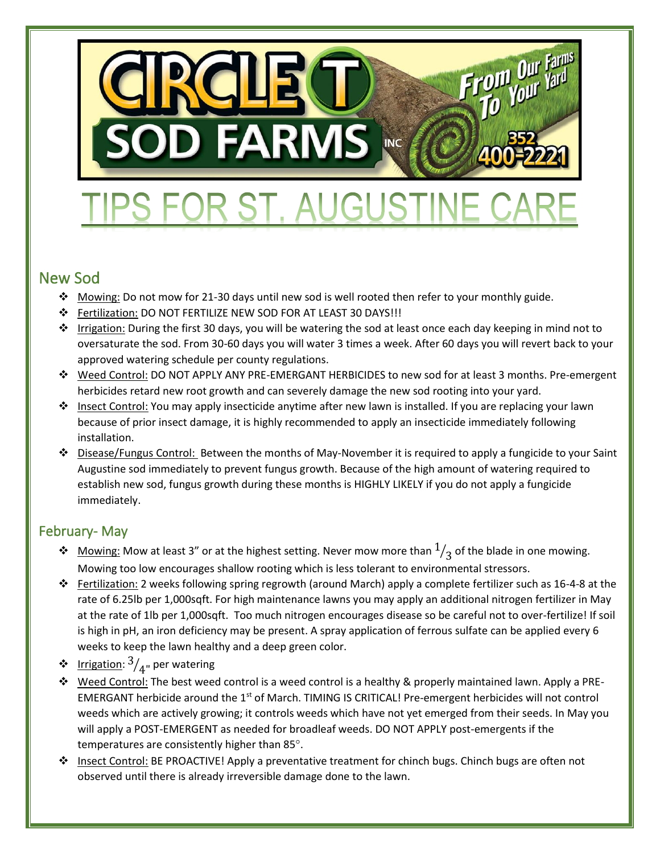

# FOR ST. AUGUSTINI

## New Sod

- ❖ Mowing: Do not mow for 21-30 days until new sod is well rooted then refer to your monthly guide.
- ❖ Fertilization: DO NOT FERTILIZE NEW SOD FOR AT LEAST 30 DAYS!!!
- ❖ Irrigation: During the first 30 days, you will be watering the sod at least once each day keeping in mind not to oversaturate the sod. From 30-60 days you will water 3 times a week. After 60 days you will revert back to your approved watering schedule per county regulations.
- ❖ Weed Control: DO NOT APPLY ANY PRE-EMERGANT HERBICIDES to new sod for at least 3 months. Pre-emergent herbicides retard new root growth and can severely damage the new sod rooting into your yard.
- ❖ Insect Control: You may apply insecticide anytime after new lawn is installed. If you are replacing your lawn because of prior insect damage, it is highly recommended to apply an insecticide immediately following installation.
- ❖ Disease/Fungus Control: Between the months of May-November it is required to apply a fungicide to your Saint Augustine sod immediately to prevent fungus growth. Because of the high amount of watering required to establish new sod, fungus growth during these months is HIGHLY LIKELY if you do not apply a fungicide immediately.

## February- May

- ❖ Mowing: Mow at least 3" or at the highest setting. Never mow more than  $1\over 3$  of the blade in one mowing. Mowing too low encourages shallow rooting which is less tolerant to environmental stressors.
- ❖ Fertilization: 2 weeks following spring regrowth (around March) apply a complete fertilizer such as 16-4-8 at the rate of 6.25lb per 1,000sqft. For high maintenance lawns you may apply an additional nitrogen fertilizer in May at the rate of 1lb per 1,000sqft. Too much nitrogen encourages disease so be careful not to over-fertilize! If soil is high in pH, an iron deficiency may be present. A spray application of ferrous sulfate can be applied every 6 weeks to keep the lawn healthy and a deep green color.
- ❖ lrrigation:  $\frac{3}{4}$ <sub>"</sub> per watering
- ❖ Weed Control: The best weed control is a weed control is a healthy & properly maintained lawn. Apply a PRE-EMERGANT herbicide around the 1st of March. TIMING IS CRITICAL! Pre-emergent herbicides will not control weeds which are actively growing; it controls weeds which have not yet emerged from their seeds. In May you will apply a POST-EMERGENT as needed for broadleaf weeds. DO NOT APPLY post-emergents if the temperatures are consistently higher than 85°.
- ❖ Insect Control: BE PROACTIVE! Apply a preventative treatment for chinch bugs. Chinch bugs are often not observed until there is already irreversible damage done to the lawn.